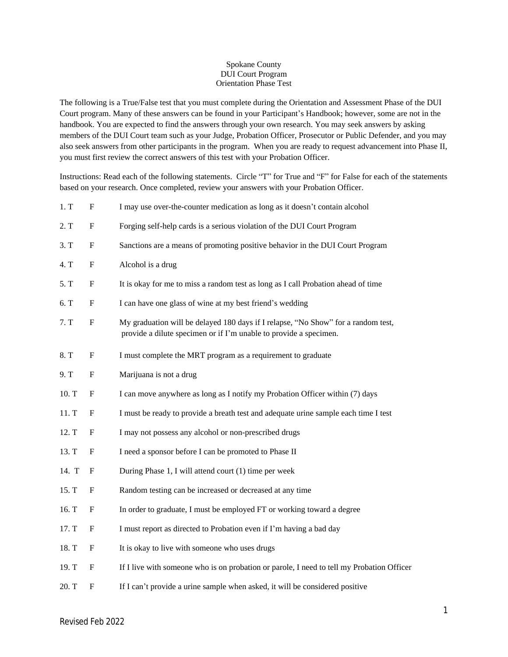## Spokane County DUI Court Program Orientation Phase Test

The following is a True/False test that you must complete during the Orientation and Assessment Phase of the DUI Court program. Many of these answers can be found in your Participant's Handbook; however, some are not in the handbook. You are expected to find the answers through your own research. You may seek answers by asking members of the DUI Court team such as your Judge, Probation Officer, Prosecutor or Public Defender, and you may also seek answers from other participants in the program. When you are ready to request advancement into Phase II, you must first review the correct answers of this test with your Probation Officer.

Instructions: Read each of the following statements. Circle "T" for True and "F" for False for each of the statements based on your research. Once completed, review your answers with your Probation Officer.

| 1, T  | $\mathbf F$               | I may use over-the-counter medication as long as it doesn't contain alcohol                                                                            |
|-------|---------------------------|--------------------------------------------------------------------------------------------------------------------------------------------------------|
| 2. T  | ${\bf F}$                 | Forging self-help cards is a serious violation of the DUI Court Program                                                                                |
| 3. T  | $\boldsymbol{\mathrm{F}}$ | Sanctions are a means of promoting positive behavior in the DUI Court Program                                                                          |
| 4. T  | $\boldsymbol{\mathrm{F}}$ | Alcohol is a drug                                                                                                                                      |
| 5. T  | ${\bf F}$                 | It is okay for me to miss a random test as long as I call Probation ahead of time                                                                      |
| 6. T  | $\boldsymbol{\mathrm{F}}$ | I can have one glass of wine at my best friend's wedding                                                                                               |
| 7. T  | $\mathbf F$               | My graduation will be delayed 180 days if I relapse, "No Show" for a random test,<br>provide a dilute specimen or if I'm unable to provide a specimen. |
| 8. T  | $\boldsymbol{\mathrm{F}}$ | I must complete the MRT program as a requirement to graduate                                                                                           |
| 9. T  | $\mathbf F$               | Marijuana is not a drug                                                                                                                                |
| 10. T | $\boldsymbol{\mathrm{F}}$ | I can move anywhere as long as I notify my Probation Officer within (7) days                                                                           |
| 11. T | $\mathbf F$               | I must be ready to provide a breath test and adequate urine sample each time I test                                                                    |
| 12. T | $\boldsymbol{\mathrm{F}}$ | I may not possess any alcohol or non-prescribed drugs                                                                                                  |
| 13. T | F                         | I need a sponsor before I can be promoted to Phase II                                                                                                  |
| 14. T | $\boldsymbol{\mathrm{F}}$ | During Phase 1, I will attend court (1) time per week                                                                                                  |
| 15. T | F                         | Random testing can be increased or decreased at any time                                                                                               |
| 16. T | F                         | In order to graduate, I must be employed FT or working toward a degree                                                                                 |
| 17. T | $\mathbf F$               | I must report as directed to Probation even if I'm having a bad day                                                                                    |
| 18. T | $\boldsymbol{\mathrm{F}}$ | It is okay to live with someone who uses drugs                                                                                                         |
| 19. T | F                         | If I live with someone who is on probation or parole, I need to tell my Probation Officer                                                              |
| 20. T | $\boldsymbol{F}$          | If I can't provide a urine sample when asked, it will be considered positive                                                                           |